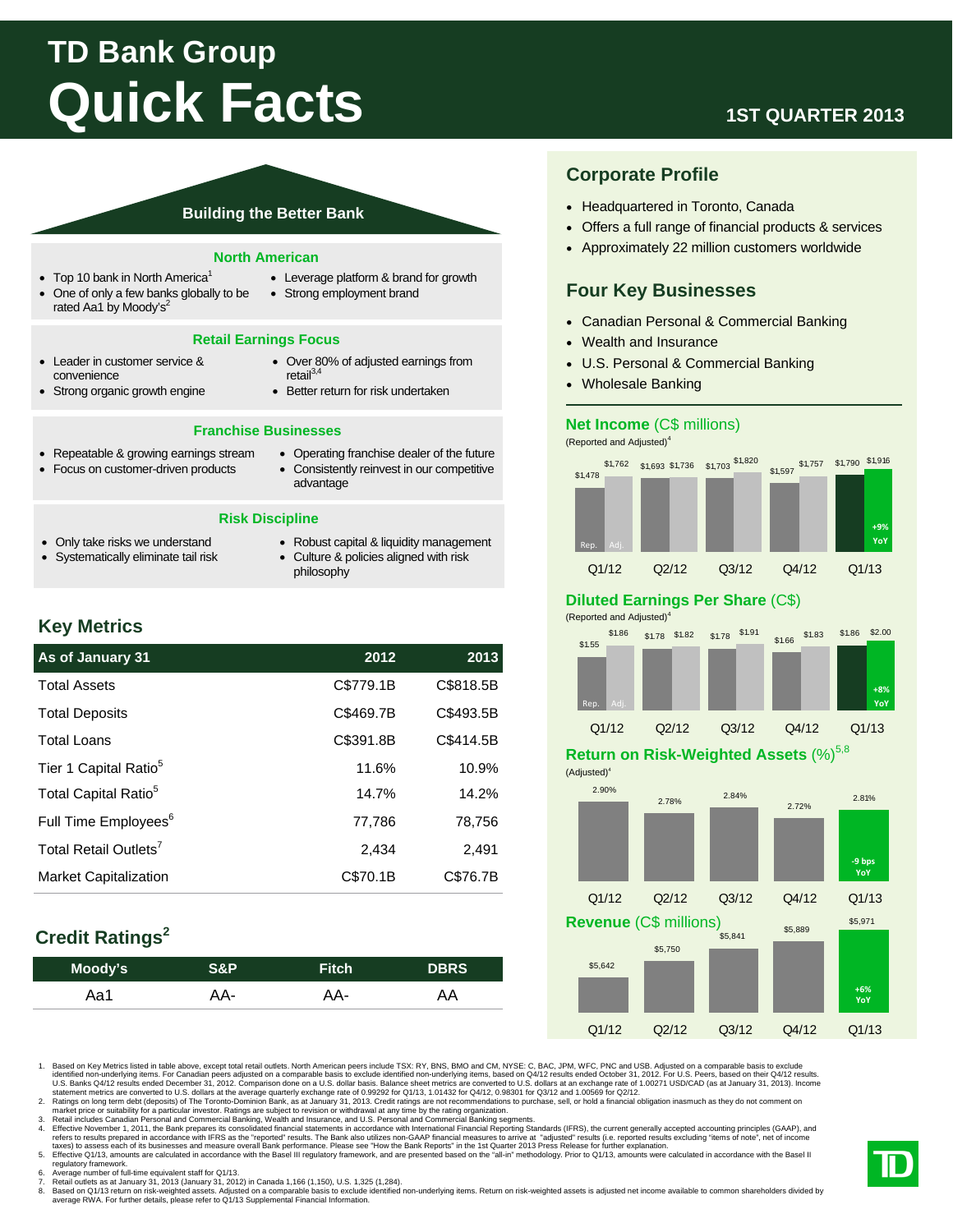# **TD Bank Group Quick Facts**

### **Building the Better Bank**

#### **North American**

- $\bullet$  Top 10 bank in North America<sup>1</sup>
- One of only a few banks globally to be rated Aa1 by Moody's<sup>2</sup>

#### • Leverage platform & brand for growth • Strong employment brand

Over 80% of adjusted earnings from

#### **Retail Earnings Focus**

- Leader in customer service & convenience
	- $retail<sup>3,4</sup>$
- Strong organic growth engine
- Better return for risk undertaken

#### **Franchise Businesses**

- Repeatable & growing earnings stream
- Focus on customer-driven products
- Operating franchise dealer of the future Consistently reinvest in our competitive
	- advantage

#### **Risk Discipline**

- Only take risks we understand
- Systematically eliminate tail risk
- Robust capital & liquidity management
- Culture & policies aligned with risk philosophy

### **Key Metrics**

| As of January 31                  | 2012      | 2013      |
|-----------------------------------|-----------|-----------|
| <b>Total Assets</b>               | C\$779.1B | C\$818.5B |
| <b>Total Deposits</b>             | C\$469.7B | C\$493.5B |
| <b>Total Loans</b>                | C\$391.8B | C\$414.5B |
| Tier 1 Capital Ratio <sup>5</sup> | 11.6%     | 10.9%     |
| Total Capital Ratio <sup>5</sup>  | 14.7%     | 14.2%     |
| Full Time Employees <sup>6</sup>  | 77.786    | 78.756    |
| Total Retail Outlets <sup>7</sup> | 2,434     | 2,491     |
| <b>Market Capitalization</b>      | C\$70.1B  | C\$76.7B  |

## **Credit Ratings<sup>2</sup>**

| Moody's | S&P' | <b>Fitch</b> | <b>DBRS</b> |
|---------|------|--------------|-------------|
| Aa1     | AA-  | AA-          | ĄΑ          |
|         |      |              |             |

1. Based on Key Metrics listed in table above, except total retail outlets. North American peers include TSX: RY, BNS, BMO and CM, NYSE: C, BAC, JPM, WFC, PNC and USB. Adjusted on a comparable basis to exclude identified non-underlying items. For Canadian peers adjusted on a comparable basis to exclude identified non-underlying items, based on Q4/12 results ended October 31, 2012. For U.S. Peers, based on their Q4/12 results.<br>U.

2. Ratings on long term debt (deposits) of The Toronto-Dominion Bank, as at January 31, 2013. Credit ratings are not recommendations to purchase, sell, or hold a financial obligation inasmuch as they do not comment on<br>mark

- 5. Effective Q1/13, amounts are calculated in accordance with the Basel III regulatory framework, and are presented based on the "all-in" methodology. Prior to Q1/13, amounts were calculated in accordance with the Basel II regulatory framework.
- 6. Average number of full-time equivalent staff for Q1/13.
- 7. Retail outlets as at January 31, 2013 (January 31, 2012) in Canada 1,166 (1,150), U.S. 1,325 (1,284).<br>8. Based on Q1/13 return on risk-weighted assets. Adjusted on a comparable basis to exclude identified non-underlying

### **1ST QUARTER 2013**

### **Corporate Profile**

- Headquartered in Toronto, Canada
- Offers a full range of financial products & services
- Approximately 22 million customers worldwide

### **Four Key Businesses**

- Canadian Personal & Commercial Banking
- Wealth and Insurance
- U.S. Personal & Commercial Banking
- Wholesale Banking

### **Net Income** (C\$ millions)

(Reported and Adjusted)4



### **Diluted Earnings Per Share** (C\$)



### **Return on Risk-Weighted Assets (%)**<sup>5,8</sup>